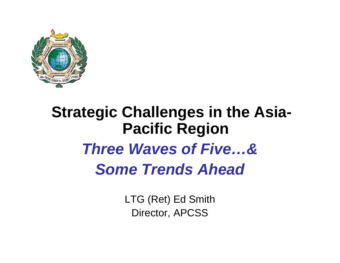

#### **Strategic Challenges in the Asia-Pacific Region** *Three Waves of Five…&Some Trends Ahead*

LTG (Ret) Ed Smith Director, APCSS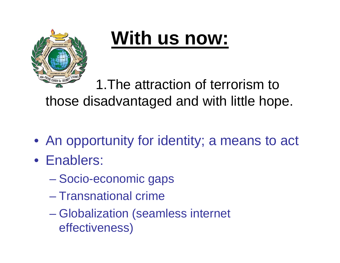

1.The attraction of terrorism to those disadvantaged and with little hope.

- An opportunity for identity; a means to act
- Enablers:
	- **Hart Committee** Socio-economic gaps
	- Transnational crime
	- Globalization (seamless internet effectiveness)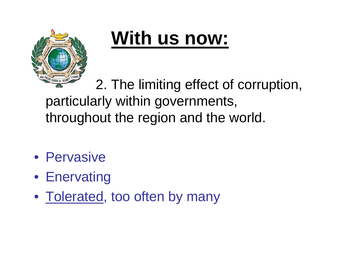

2. The limiting effect of corruption, particularly within governments, throughout the region and the world.

- Pervasive
- Enervating
- Tolerated, too often by many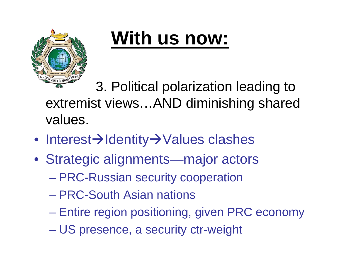

3. Political polarization leading to extremist views…AND diminishing shared values.

- Interest→Identity→Values clashes
- Strategic alignments—major actors
	- **Hart Committee** PRC-Russian security cooperation
	- PRC-South Asian nations
	- –Entire region positioning, given PRC economy
	- **Hart Committee** US presence, a security ctr-weight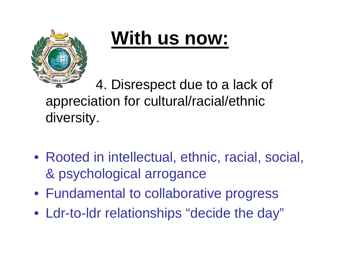

4. Disrespect due to a lack of appreciation for cultural/racial/ethnic diversity.

- Rooted in intellectual, ethnic, racial, social, & psychological arrogance
- Fundamental to collaborative progress
- Ldr-to-ldr relationships "decide the day"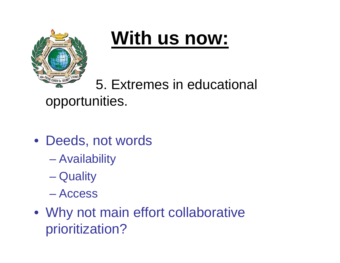

#### 5. Extremes in educational opportunities.

- Deeds, not words
	- Availability
	- **Hart Committee Quality**
	- Access
- Why not main effort collaborative prioritization?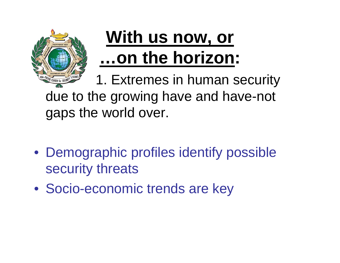

1. Extremes in human security due to the growing have and have-not gaps the world over.

- Demographic profiles identify possible security threats
- Socio-economic trends are key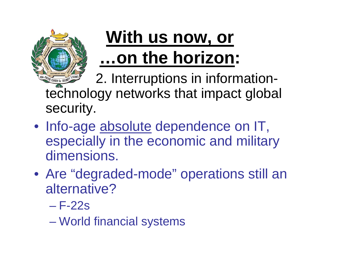

2. Interruptions in informationtechnology networks that impact global security.

- Info-age <u>absolute</u> dependence on IT, especially in the economic and military dimensions.
- Are "degraded-mode" operations still an alternative?
	- F-22s

World financial systems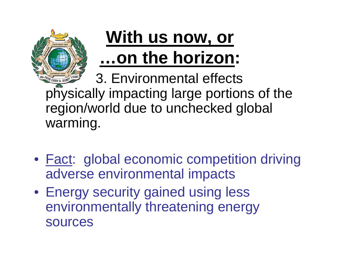

3. Environmental effects physically impacting large portions of the region/world due to unchecked global warming.

- **Fact: global economic competition driving** adverse environmental impacts
- Energy security gained using less environmentally threatening energy sources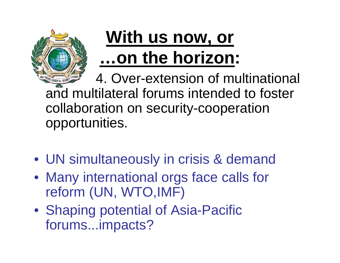

4. Over-extension of multinational and multilateral forums intended to foster collaboration on security-cooperation opportunities.

- UN simultaneously in crisis & demand
- Many international orgs face calls for reform (UN, WTO,IMF)
- Shaping potential of Asia-Pacific forums...impacts?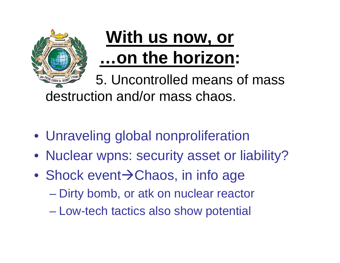

5. Uncontrolled means of mass destruction and/or mass chaos.

- Unraveling global nonproliferation
- Nuclear wpns: security asset or liability?
- Shock event→Chaos, in info age
	- –Dirty bomb, or atk on nuclear reactor
	- **Hart Committee** Low-tech tactics also show potential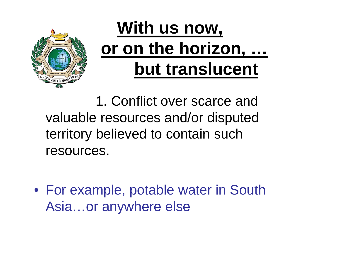

1. Conflict over scarce and valuable resources and/or disputed territory believed to contain such resources.

• For example, potable water in South Asia…or anywhere else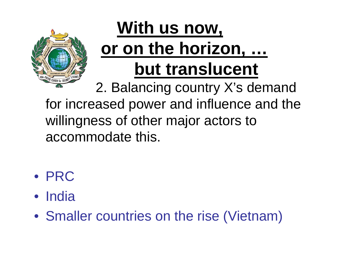

2. Balancing country X's demand for increased power and influence and the willingness of other major actors to accommodate this.

- PRC
- India
- Smaller countries on the rise (Vietnam)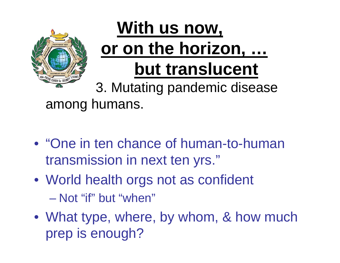

3. Mutating pandemic disease among humans.

- "One in ten chance of human-to-human transmission in next ten yrs."
- World health orgs not as confident – Not "if" but "when"
- What type, where, by whom, & how much prep is enough?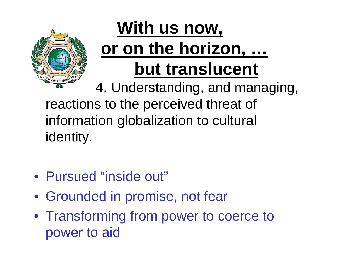

4. Understanding, and managing, reactions to the perceived threat of information globalization to cultural identity.

- Pursued "inside out"
- Grounded in promise, not fear
- Transforming from power to coerce to power to aid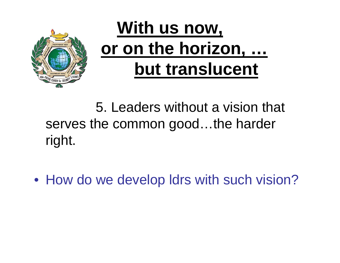

#### 5. Leaders without a vision that serves the common good...the harder right.

• How do we develop ldrs with such vision?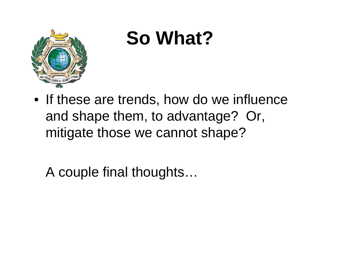

# **So What?**

• If these are trends, how do we influence and shape them, to advantage? Or, mitigate those we cannot shape?

A couple final thoughts…